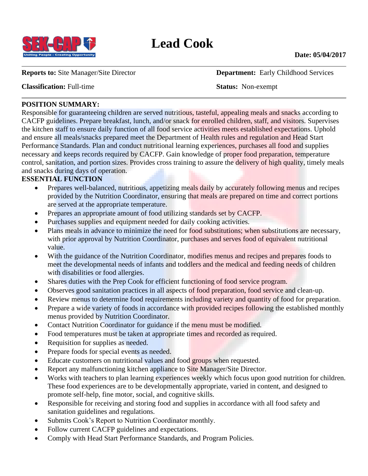

**Classification:** Full-time **Status:** Non-exempt

**Reports to:** Site Manager/Site Director **Department:** Early Childhood Services

### **POSITION SUMMARY:**

Responsible for guaranteeing children are served nutritious, tasteful, appealing meals and snacks according to CACFP guidelines. Prepare breakfast, lunch, and/or snack for enrolled children, staff, and visitors. Supervises the kitchen staff to ensure daily function of all food service activities meets established expectations. Uphold and ensure all meals/snacks prepared meet the Department of Health rules and regulation and Head Start Performance Standards. Plan and conduct nutritional learning experiences, purchases all food and supplies necessary and keeps records required by CACFP. Gain knowledge of proper food preparation, temperature control, sanitation, and portion sizes. Provides cross training to assure the delivery of high quality, timely meals and snacks during days of operation.

# **ESSENTIAL FUNCTION**

- Prepares well-balanced, nutritious, appetizing meals daily by accurately following menus and recipes provided by the Nutrition Coordinator, ensuring that meals are prepared on time and correct portions are served at the appropriate temperature.
- Prepares an appropriate amount of food utilizing standards set by CACFP.
- Purchases supplies and equipment needed for daily cooking activities.
- Plans meals in advance to minimize the need for food substitutions; when substitutions are necessary, with prior approval by Nutrition Coordinator, purchases and serves food of equivalent nutritional value.
- With the guidance of the Nutrition Coordinator, modifies menus and recipes and prepares foods to meet the developmental needs of infants and toddlers and the medical and feeding needs of children with disabilities or food allergies.
- Shares duties with the Prep Cook for efficient functioning of food service program.
- Observes good sanitation practices in all aspects of food preparation, food service and clean-up.
- Review menus to determine food requirements including variety and quantity of food for preparation.
- Prepare a wide variety of foods in accordance with provided recipes following the established monthly menus provided by Nutrition Coordinator.
- Contact Nutrition Coordinator for guidance if the menu must be modified.
- Food temperatures must be taken at appropriate times and recorded as required.
- Requisition for supplies as needed.
- Prepare foods for special events as needed.
- Educate customers on nutritional values and food groups when requested.
- Report any malfunctioning kitchen appliance to Site Manager/Site Director.
- Works with teachers to plan learning experiences weekly which focus upon good nutrition for children. These food experiences are to be developmentally appropriate, varied in content, and designed to promote self-help, fine motor, social, and cognitive skills.
- Responsible for receiving and storing food and supplies in accordance with all food safety and sanitation guidelines and regulations.
- Submits Cook's Report to Nutrition Coordinator monthly.
- Follow current CACFP guidelines and expectations.
- Comply with Head Start Performance Standards, and Program Policies.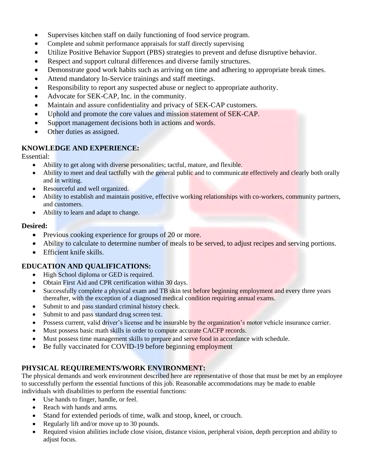- Supervises kitchen staff on daily functioning of food service program.
- Complete and submit performance appraisals for staff directly supervising
- Utilize Positive Behavior Support (PBS) strategies to prevent and defuse disruptive behavior.
- Respect and support cultural differences and diverse family structures.
- Demonstrate good work habits such as arriving on time and adhering to appropriate break times.
- Attend mandatory In-Service trainings and staff meetings.
- Responsibility to report any suspected abuse or neglect to appropriate authority.
- Advocate for SEK-CAP, Inc. in the community.
- Maintain and assure confidentiality and privacy of SEK-CAP customers.
- Uphold and promote the core values and mission statement of SEK-CAP.
- Support management decisions both in actions and words.
- Other duties as assigned.

# **KNOWLEDGE AND EXPERIENCE:**

Essential:

- Ability to get along with diverse personalities; tactful, mature, and flexible.
- Ability to meet and deal tactfully with the general public and to communicate effectively and clearly both orally and in writing.
- Resourceful and well organized.
- Ability to establish and maintain positive, effective working relationships with co-workers, community partners, and customers.
- Ability to learn and adapt to change.

### **Desired:**

- Previous cooking experience for groups of 20 or more.
- Ability to calculate to determine number of meals to be served, to adjust recipes and serving portions.
- Efficient knife skills.

# **EDUCATION AND QUALIFICATIONS:**

- High School diploma or GED is required.
- Obtain First Aid and CPR certification within 30 days.
- Successfully complete a physical exam and TB skin test before beginning employment and every three years thereafter, with the exception of a diagnosed medical condition requiring annual exams.
- Submit to and pass standard criminal history check.
- Submit to and pass standard drug screen test.
- Possess current, valid driver's license and be insurable by the organization's motor vehicle insurance carrier.
- Must possess basic math skills in order to compute accurate CACFP records.
- Must possess time management skills to prepare and serve food in accordance with schedule.
- Be fully vaccinated for COVID-19 before beginning employment

# **PHYSICAL REQUIREMENTS/WORK ENVIRONMENT:**

The physical demands and work environment described here are representative of those that must be met by an employee to successfully perform the essential functions of this job. Reasonable accommodations may be made to enable individuals with disabilities to perform the essential functions:

- Use hands to finger, handle, or feel.
- Reach with hands and arms.
- Stand for extended periods of time, walk and stoop, kneel, or crouch.
- Regularly lift and/or move up to 30 pounds.
- Required vision abilities include close vision, distance vision, peripheral vision, depth perception and ability to adjust focus.